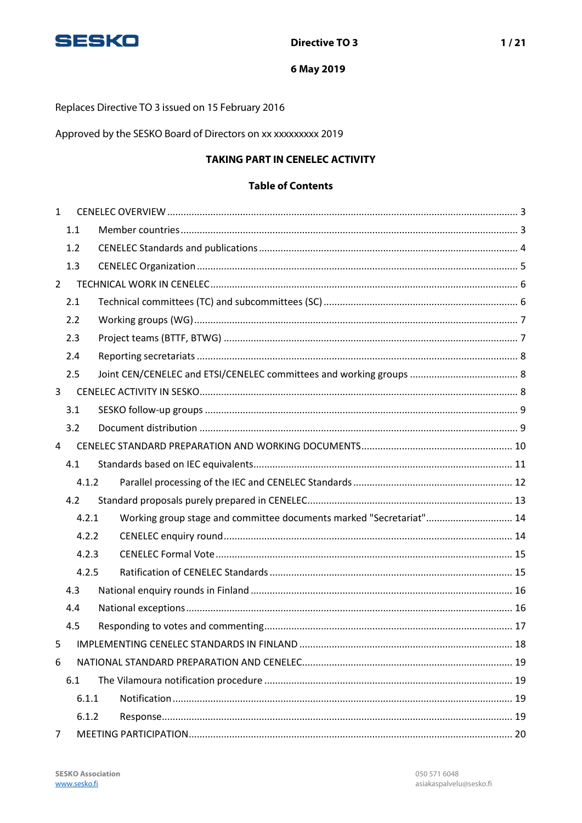

Replaces Directive TO 3 issued on 15 February 2016

Approved by the SESKO Board of Directors on xx xxxxxxxxx 2019

## **TAKING PART IN CENELEC ACTIVITY**

#### **Table of Contents**

| $\mathbf{1}$   |       |  |                                                                     |  |  |
|----------------|-------|--|---------------------------------------------------------------------|--|--|
|                | 1.1   |  |                                                                     |  |  |
|                | 1.2   |  |                                                                     |  |  |
|                | 1.3   |  |                                                                     |  |  |
| $\overline{2}$ |       |  |                                                                     |  |  |
|                | 2.1   |  |                                                                     |  |  |
|                | 2.2   |  |                                                                     |  |  |
|                | 2.3   |  |                                                                     |  |  |
|                | 2.4   |  |                                                                     |  |  |
|                | 2.5   |  |                                                                     |  |  |
| 3              |       |  |                                                                     |  |  |
|                | 3.1   |  |                                                                     |  |  |
|                | 3.2   |  |                                                                     |  |  |
| 4              |       |  |                                                                     |  |  |
|                | 4.1   |  |                                                                     |  |  |
|                | 4.1.2 |  |                                                                     |  |  |
|                | 4.2   |  |                                                                     |  |  |
|                | 4.2.1 |  | Working group stage and committee documents marked "Secretariat" 14 |  |  |
|                | 4.2.2 |  |                                                                     |  |  |
|                | 4.2.3 |  |                                                                     |  |  |
|                | 4.2.5 |  |                                                                     |  |  |
|                | 4.3   |  |                                                                     |  |  |
|                | 4.4   |  |                                                                     |  |  |
|                | 4.5   |  |                                                                     |  |  |
| 5              |       |  |                                                                     |  |  |
| 6              |       |  |                                                                     |  |  |
| 6.1            |       |  |                                                                     |  |  |
|                | 6.1.1 |  |                                                                     |  |  |
| 6.1.2          |       |  |                                                                     |  |  |
| $\overline{7}$ |       |  |                                                                     |  |  |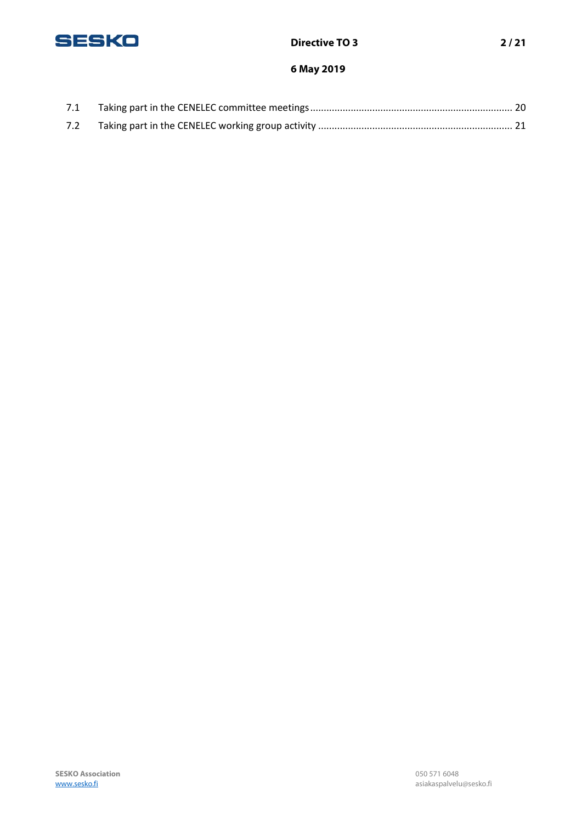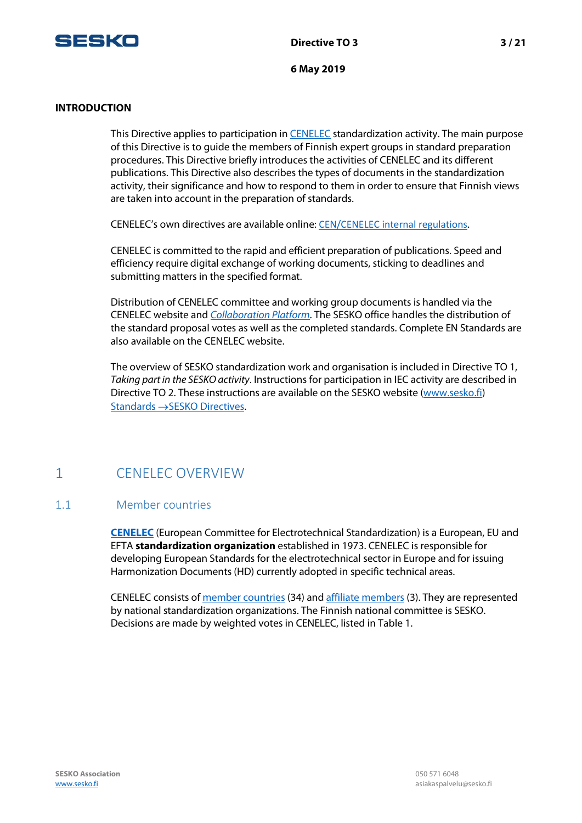

#### **INTRODUCTION**

This Directive applies to participation in [CENELEC](https://www.cenelec.eu/index.html) standardization activity. The main purpose of this Directive is to guide the members of Finnish expert groups in standard preparation procedures. This Directive briefly introduces the activities of CENELEC and its different publications. This Directive also describes the types of documents in the standardization activity, their significance and how to respond to them in order to ensure that Finnish views are taken into account in the preparation of standards.

CENELEC's own directives are available online: [CEN/CENELEC internal regulations](https://boss.cenelec.eu/reference%20material/RefDocs/Pages/default.aspx).

CENELEC is committed to the rapid and efficient preparation of publications. Speed and efficiency require digital exchange of working documents, sticking to deadlines and submitting matters in the specified format.

Distribution of CENELEC committee and working group documents is handled via the CENELEC website and *[Collaboration](https://collaborate.iec.ch/) Platform*. The SESKO office handles the distribution of the standard proposal votes as well as the completed standards. Complete EN Standards are also available on the CENELEC website.

The overview of SESKO standardization work and organisation is included in Directive TO 1, *Taking part in the SESKO activity*. Instructions for participation in IEC activity are described in Directive TO 2. These instructions are available on the SESKO website [\(www.sesko.fi\)](http://www.sesko.fi/) [Standards](https://www.sesko.fi/en/standards/sesko_directives) →SESKO Directives.

# <span id="page-2-0"></span>1 CENELEC OVERVIEW

#### <span id="page-2-1"></span>1.1 Member countries

**[CENELEC](http://www.cenelec.eu/index.html)** (European Committee for Electrotechnical Standardization) is a European, EU and EFTA **standardization organization** established in 1973. CENELEC is responsible for developing European Standards for the electrotechnical sector in Europe and for issuing Harmonization Documents (HD) currently adopted in specific technical areas.

CENELEC consists of member [countries](https://www.cenelec.eu/dyn/www/f?p=web:5) (34) and affiliate [members](https://www.cenelec.eu/dyn/www/f?p=web:9) (3). They are represented by national standardization organizations. The Finnish national committee is SESKO. Decisions are made by weighted votes in CENELEC, listed in Table 1.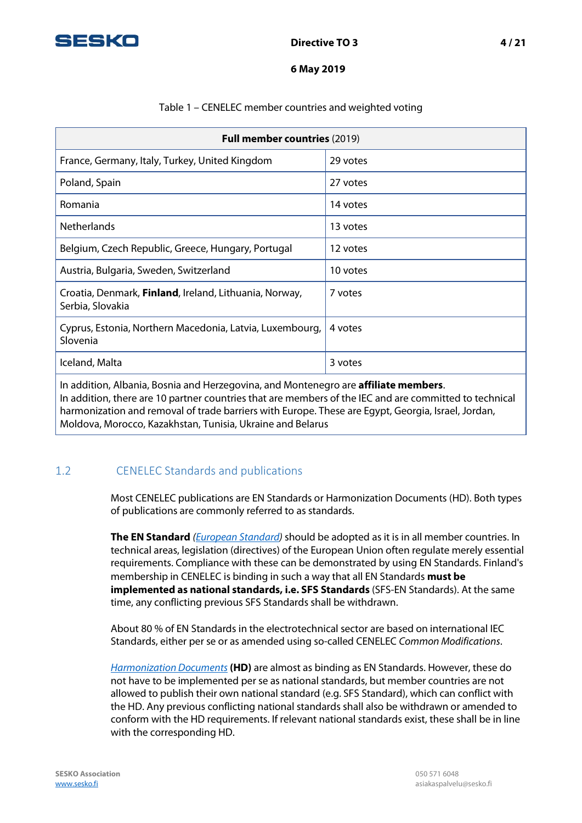

#### Table 1 – CENELEC member countries and weighted voting

| <b>Full member countries (2019)</b>                                        |          |  |  |
|----------------------------------------------------------------------------|----------|--|--|
| France, Germany, Italy, Turkey, United Kingdom                             | 29 votes |  |  |
| Poland, Spain                                                              | 27 votes |  |  |
| Romania                                                                    | 14 votes |  |  |
| <b>Netherlands</b>                                                         | 13 votes |  |  |
| Belgium, Czech Republic, Greece, Hungary, Portugal                         | 12 votes |  |  |
| Austria, Bulgaria, Sweden, Switzerland                                     | 10 votes |  |  |
| Croatia, Denmark, Finland, Ireland, Lithuania, Norway,<br>Serbia, Slovakia | 7 votes  |  |  |
| Cyprus, Estonia, Northern Macedonia, Latvia, Luxembourg,<br>Slovenia       | 4 votes  |  |  |
| Iceland, Malta                                                             | 3 votes  |  |  |

In addition, Albania, Bosnia and Herzegovina, and Montenegro are **affiliate members**. In addition, there are 10 partner countries that are members of the IEC and are committed to technical harmonization and removal of trade barriers with Europe. These are Egypt, Georgia, Israel, Jordan, Moldova, Morocco, Kazakhstan, Tunisia, Ukraine and Belarus

# <span id="page-3-0"></span>1.2 CENELEC Standards and publications

Most CENELEC publications are EN Standards or Harmonization Documents (HD). Both types of publications are commonly referred to as standards.

**The EN Standard** *[\(European Standard\)](https://www.cenelec.eu/standardsdevelopment/ourproducts/europeanstandards.html)* should be adopted as it is in all member countries. In technical areas, legislation (directives) of the European Union often regulate merely essential requirements. Compliance with these can be demonstrated by using EN Standards. Finland's membership in CENELEC is binding in such a way that all EN Standards **must be implemented as national standards, i.e. SFS Standards** (SFS-EN Standards). At the same time, any conflicting previous SFS Standards shall be withdrawn.

About 80 % of EN Standards in the electrotechnical sector are based on international IEC Standards, either per se or as amended using so-called CENELEC *Common Modifications*.

*[Harmonization Documents](https://www.cenelec.eu/standardsdevelopment/ourproducts/harmonizeddocuments.html)* **(HD)** are almost as binding as EN Standards. However, these do not have to be implemented per se as national standards, but member countries are not allowed to publish their own national standard (e.g. SFS Standard), which can conflict with the HD. Any previous conflicting national standards shall also be withdrawn or amended to conform with the HD requirements. If relevant national standards exist, these shall be in line with the corresponding HD.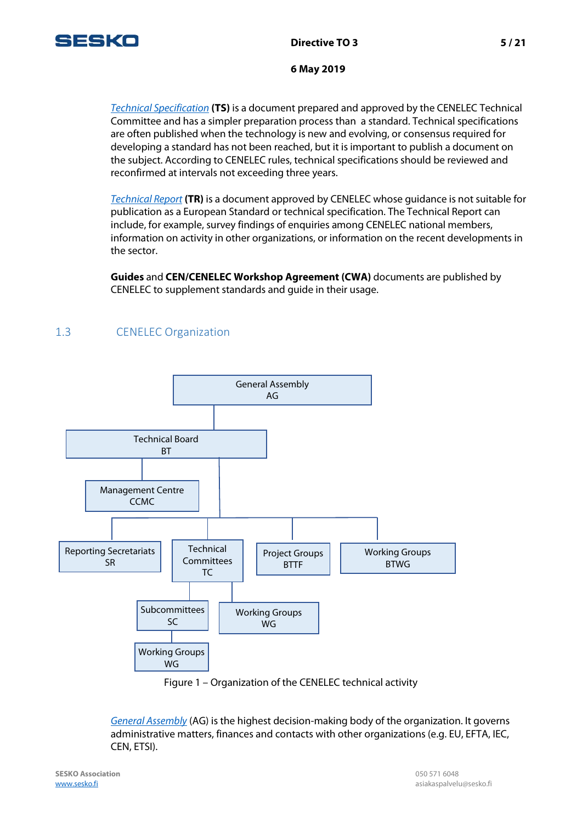

*[Technical Specification](https://www.cenelec.eu/standardsdevelopment/ourproducts/technicalspecification.html)* **(TS)** is a document prepared and approved by the CENELEC Technical Committee and has a simpler preparation process than a standard. Technical specifications are often published when the technology is new and evolving, or consensus required for developing a standard has not been reached, but it is important to publish a document on the subject. According to CENELEC rules, technical specifications should be reviewed and reconfirmed at intervals not exceeding three years.

*[Technical Report](https://www.cenelec.eu/standardsdevelopment/ourproducts/technicalreports.html)* **(TR)** is a document approved by CENELEC whose guidance is not suitable for publication as a European Standard or technical specification. The Technical Report can include, for example, survey findings of enquiries among CENELEC national members, information on activity in other organizations, or information on the recent developments in the sector.

**Guides** and **CEN/CENELEC Workshop Agreement (CWA)** documents are published by CENELEC to supplement standards and guide in their usage.

# <span id="page-4-0"></span>1.3 CENELEC Organization



Figure 1 – Organization of the CENELEC technical activity

*[General Assembly](https://www.cenelec.eu/aboutcenelec/whoweare/governingstructure/generalassembly.html)* (AG) is the highest decision-making body of the organization. It governs administrative matters, finances and contacts with other organizations (e.g. EU, EFTA, IEC, CEN, ETSI).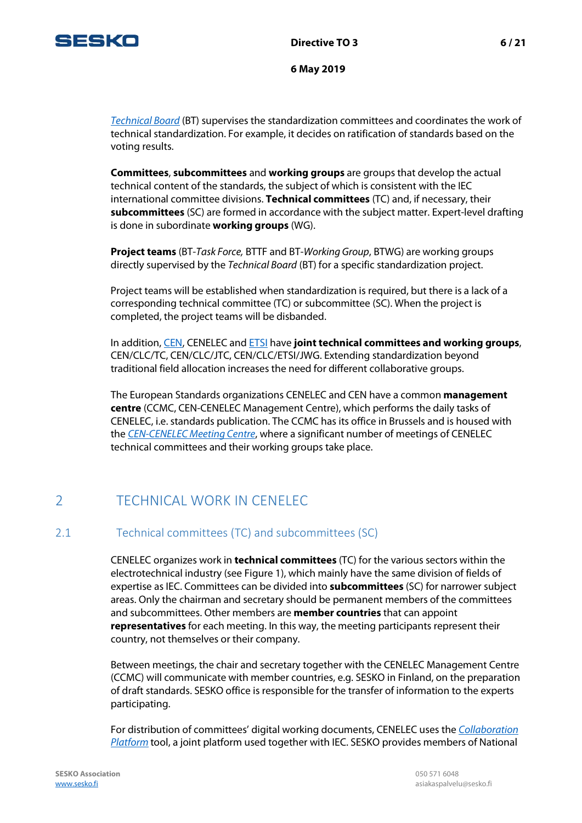

*[Technical Board](https://www.cenelec.eu/aboutcenelec/whoweare/governingstructure/technicalboard.html)* (BT) supervises the standardization committees and coordinates the work of technical standardization. For example, it decides on ratification of standards based on the voting results.

**Committees**, **subcommittees** and **working groups** are groups that develop the actual technical content of the standards, the subject of which is consistent with the IEC international committee divisions. **Technical committees** (TC) and, if necessary, their **subcommittees** (SC) are formed in accordance with the subject matter. Expert-level drafting is done in subordinate **working groups** (WG).

**Project teams** (BT-*Task Force,* BTTF and BT-*Working Group*, BTWG) are working groups directly supervised by the *Technical Board* (BT) for a specific standardization project.

Project teams will be established when standardization is required, but there is a lack of a corresponding technical committee (TC) or subcommittee (SC). When the project is completed, the project teams will be disbanded.

In addition[, CEN,](https://www.cen.eu/Pages/default.aspx) CENELEC and [ETSI](http://www.etsi.org/) have **joint technical committees and working groups**, CEN/CLC/TC, CEN/CLC/JTC, CEN/CLC/ETSI/JWG. Extending standardization beyond traditional field allocation increases the need for different collaborative groups.

The European Standards organizations CENELEC and CEN have a common **management centre** (CCMC, CEN-CENELEC Management Centre), which performs the daily tasks of CENELEC, i.e. standards publication. The CCMC has its office in Brussels and is housed with the *[CEN-CENELEC Meeting Centre](http://www.cenelec.eu/meetingcenter/)*, where a significant number of meetings of CENELEC technical committees and their working groups take place.

# <span id="page-5-0"></span>2 TECHNICAL WORK IN CENELEC

### <span id="page-5-1"></span>2.1 Technical committees (TC) and subcommittees (SC)

CENELEC organizes work in **technical committees** (TC) for the various sectors within the electrotechnical industry (see Figure 1), which mainly have the same division of fields of expertise as IEC. Committees can be divided into **subcommittees** (SC) for narrower subject areas. Only the chairman and secretary should be permanent members of the committees and subcommittees. Other members are **member countries** that can appoint **representatives** for each meeting. In this way, the meeting participants represent their country, not themselves or their company.

Between meetings, the chair and secretary together with the CENELEC Management Centre (CCMC) will communicate with member countries, e.g. SESKO in Finland, on the preparation of draft standards. SESKO office is responsible for the transfer of information to the experts participating.

For distribution of committees' digital working documents, CENELEC uses the *[Collaboration](https://collaborate.iec.ch/) [Platform](https://collaborate.iec.ch/)* tool, a joint platform used together with IEC. SESKO provides members of National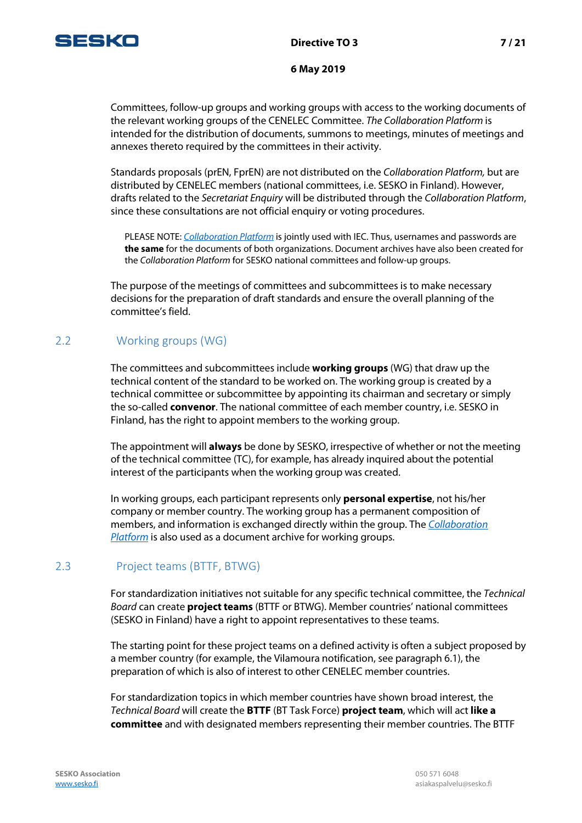

Committees, follow-up groups and working groups with access to the working documents of the relevant working groups of the CENELEC Committee. *The Collaboration Platform* is intended for the distribution of documents, summons to meetings, minutes of meetings and annexes thereto required by the committees in their activity.

Standards proposals (prEN, FprEN) are not distributed on the *Collaboration Platform,* but are distributed by CENELEC members (national committees, i.e. SESKO in Finland). However, drafts related to the *Secretariat Enquiry* will be distributed through the *Collaboration Platform*, since these consultations are not official enquiry or voting procedures.

PLEASE NOTE: *[Collaboration](https://collaborate.iec.ch/) Platform* is jointly used with IEC. Thus, usernames and passwords are **the same** for the documents of both organizations. Document archives have also been created for the *Collaboration Platform* for SESKO national committees and follow-up groups.

The purpose of the meetings of committees and subcommittees is to make necessary decisions for the preparation of draft standards and ensure the overall planning of the committee's field.

### <span id="page-6-0"></span>2.2 Working groups (WG)

The committees and subcommittees include **working groups** (WG) that draw up the technical content of the standard to be worked on. The working group is created by a technical committee or subcommittee by appointing its chairman and secretary or simply the so-called **convenor**. The national committee of each member country, i.e. SESKO in Finland, has the right to appoint members to the working group.

The appointment will **always** be done by SESKO, irrespective of whether or not the meeting of the technical committee (TC), for example, has already inquired about the potential interest of the participants when the working group was created.

In working groups, each participant represents only **personal expertise**, not his/her company or member country. The working group has a permanent composition of members, and information is exchanged directly within the group. The *Collaboration Platform* is also used as a document archive for working groups.

# <span id="page-6-1"></span>2.3 Project teams (BTTF, BTWG)

For standardization initiatives not suitable for any specific technical committee, the *Technical Board* can create **project teams** (BTTF or BTWG). Member countries' national committees (SESKO in Finland) have a right to appoint representatives to these teams.

The starting point for these project teams on a defined activity is often a subject proposed by a member country (for example, the Vilamoura notification, see paragraph 6.1), the preparation of which is also of interest to other CENELEC member countries.

For standardization topics in which member countries have shown broad interest, the *Technical Board* will create the **BTTF** (BT Task Force) **project team**, which will act **like a committee** and with designated members representing their member countries. The BTTF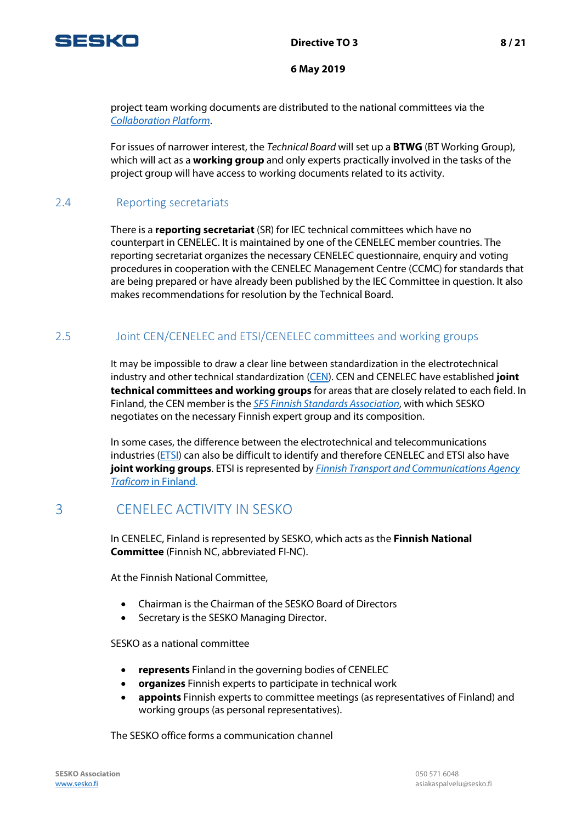

project team working documents are distributed to the national committees via the *[Collaboration Platform](https://collaborate.iec.ch/)*.

For issues of narrower interest, the *Technical Board* will set up a **BTWG** (BT Working Group), which will act as a **working group** and only experts practically involved in the tasks of the project group will have access to working documents related to its activity.

## <span id="page-7-0"></span>2.4 Reporting secretariats

There is a **reporting secretariat** (SR) for IEC technical committees which have no counterpart in CENELEC. It is maintained by one of the CENELEC member countries. The reporting secretariat organizes the necessary CENELEC questionnaire, enquiry and voting procedures in cooperation with the CENELEC Management Centre (CCMC) for standards that are being prepared or have already been published by the IEC Committee in question. It also makes recommendations for resolution by the Technical Board.

## <span id="page-7-1"></span>2.5 Joint CEN/CENELEC and ETSI/CENELEC committees and working groups

It may be impossible to draw a clear line between standardization in the electrotechnical industry and other technical standardization [\(CEN\)](http://www.cen.eu/). CEN and CENELEC have established **joint technical committees and working groups** for areas that are closely related to each field. In Finland, the CEN member is the *[SFS Finnish Standards Association](http://www.sfs.fi/)*, with which SESKO negotiates on the necessary Finnish expert group and its composition.

In some cases, the difference between the electrotechnical and telecommunications industries [\(ETSI\)](http://www.etsi.org/) can also be difficult to identify and therefore CENELEC and ETSI also have **joint working groups**. ETSI is represented by *[Finnish Transport and Communications Agency](https://www.traficom.fi/fi)  [Traficom](https://www.traficom.fi/fi)* in Finland.

# <span id="page-7-2"></span>3 CENELEC ACTIVITY IN SESKO

In CENELEC, Finland is represented by SESKO, which acts as the **Finnish National Committee** (Finnish NC, abbreviated FI-NC).

At the Finnish National Committee,

- Chairman is the Chairman of the SESKO Board of Directors
- Secretary is the SESKO Managing Director.

SESKO as a national committee

- **represents** Finland in the governing bodies of CENELEC
- **organizes** Finnish experts to participate in technical work
- **appoints** Finnish experts to committee meetings (as representatives of Finland) and working groups (as personal representatives).

The SESKO office forms a communication channel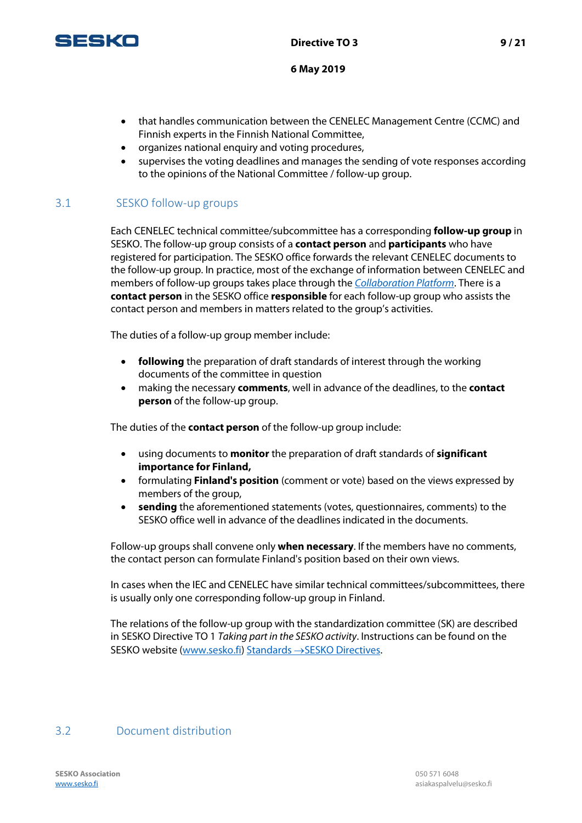

- that handles communication between the CENELEC Management Centre (CCMC) and Finnish experts in the Finnish National Committee,
- organizes national enquiry and voting procedures,
- supervises the voting deadlines and manages the sending of vote responses according to the opinions of the National Committee / follow-up group.

# <span id="page-8-0"></span>3.1 SESKO follow-up groups

Each CENELEC technical committee/subcommittee has a corresponding **follow-up group** in SESKO. The follow-up group consists of a **contact person** and **participants** who have registered for participation. The SESKO office forwards the relevant CENELEC documents to the follow-up group. In practice, most of the exchange of information between CENELEC and members of follow-up groups takes place through the *[Collaboration Platform](https://collaborate.iec.ch/)*. There is a **contact person** in the SESKO office **responsible** for each follow-up group who assists the contact person and members in matters related to the group's activities.

The duties of a follow-up group member include:

- **following** the preparation of draft standards of interest through the working documents of the committee in question
- making the necessary **comments**, well in advance of the deadlines, to the **contact person** of the follow-up group.

The duties of the **contact person** of the follow-up group include:

- using documents to **monitor** the preparation of draft standards of **significant importance for Finland,**
- formulating **Finland's position** (comment or vote) based on the views expressed by members of the group,
- **sending** the aforementioned statements (votes, questionnaires, comments) to the SESKO office well in advance of the deadlines indicated in the documents.

Follow-up groups shall convene only **when necessary**. If the members have no comments, the contact person can formulate Finland's position based on their own views.

In cases when the IEC and CENELEC have similar technical committees/subcommittees, there is usually only one corresponding follow-up group in Finland.

The relations of the follow-up group with the standardization committee (SK) are described in SESKO Directive TO 1 *Taking part in the SESKO activity*. Instructions can be found on the SESKO website [\(www.sesko.fi\)](http://www.sesko.fi/) [Standards](https://www.sesko.fi/en/standards/sesko_directives) →SESKO Directives.

# <span id="page-8-1"></span>3.2 Document distribution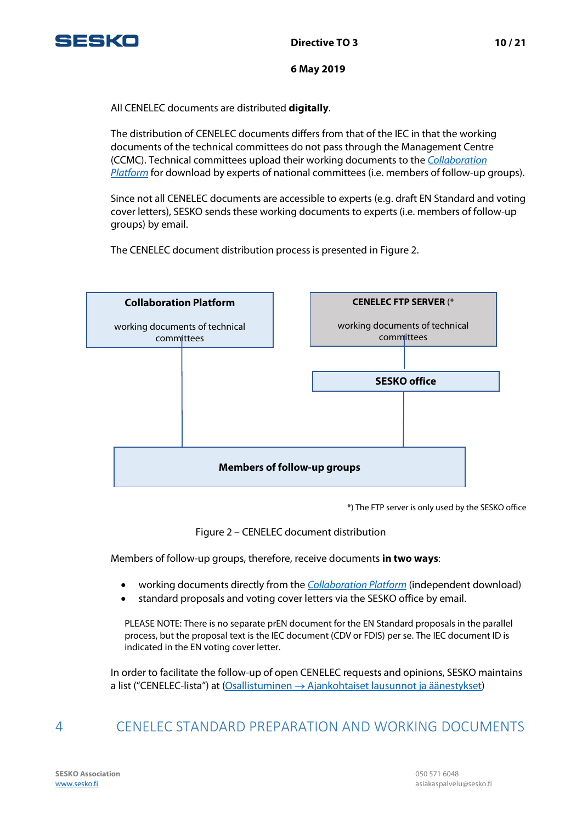

All CENELEC documents are distributed **digitally**.

The distribution of CENELEC documents differs from that of the IEC in that the working documents of the technical committees do not pass through the Management Centre (CCMC). Technical committees upload their working documents to the *[Collaboration](https://collaborate.iec.ch/)  [Platform](https://collaborate.iec.ch/)* for download by experts of national committees (i.e. members of follow-up groups).

Since not all CENELEC documents are accessible to experts (e.g. draft EN Standard and voting cover letters), SESKO sends these working documents to experts (i.e. members of follow-up groups) by email.

The CENELEC document distribution process is presented in Figure 2.



\*) The FTP server is only used by the SESKO office

Figure 2 – CENELEC document distribution

Members of follow-up groups, therefore, receive documents **in two ways**:

- working documents directly from the *[Collaboration Platform](https://collaborate.iec.ch/)* (independent download)
- standard proposals and voting cover letters via the SESKO office by email.

PLEASE NOTE: There is no separate prEN document for the EN Standard proposals in the parallel process, but the proposal text is the IEC document (CDV or FDIS) per se. The IEC document ID is indicated in the EN voting cover letter.

In order to facilitate the follow-up of open CENELEC requests and opinions, SESKO maintains a list ("CENELEC-lista") at (Osallistuminen → [Ajankohtaiset lausunnot](http://www.sesko.fi/osallistuminen/ajankohtaiset_lausunnot_ja_aanestykset) ja äänestykset)

# <span id="page-9-0"></span>4 CENELEC STANDARD PREPARATION AND WORKING DOCUMENTS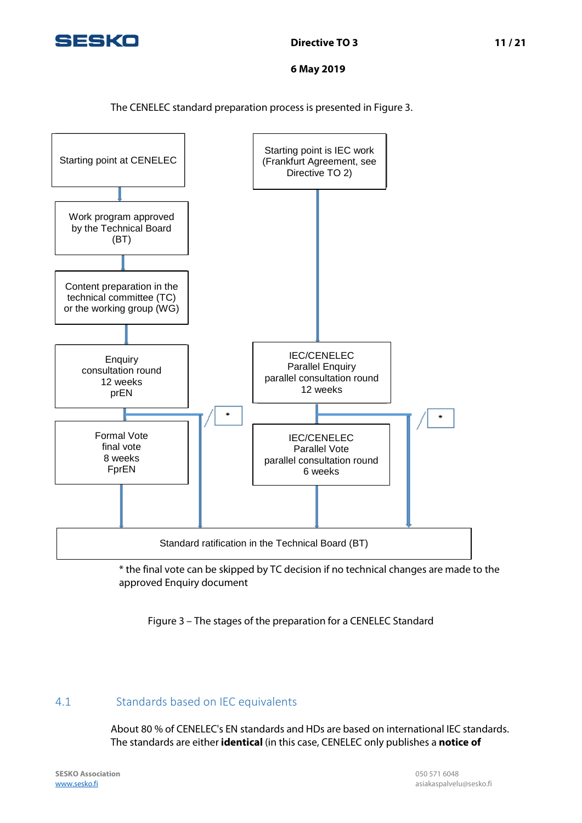

The CENELEC standard preparation process is presented in Figure 3.



\* the final vote can be skipped by TC decision if no technical changes are made to the approved Enquiry document

Figure 3 – The stages of the preparation for a CENELEC Standard

# <span id="page-10-0"></span>4.1 Standards based on IEC equivalents

About 80 % of CENELEC's EN standards and HDs are based on international IEC standards. The standards are either **identical** (in this case, CENELEC only publishes a **notice of**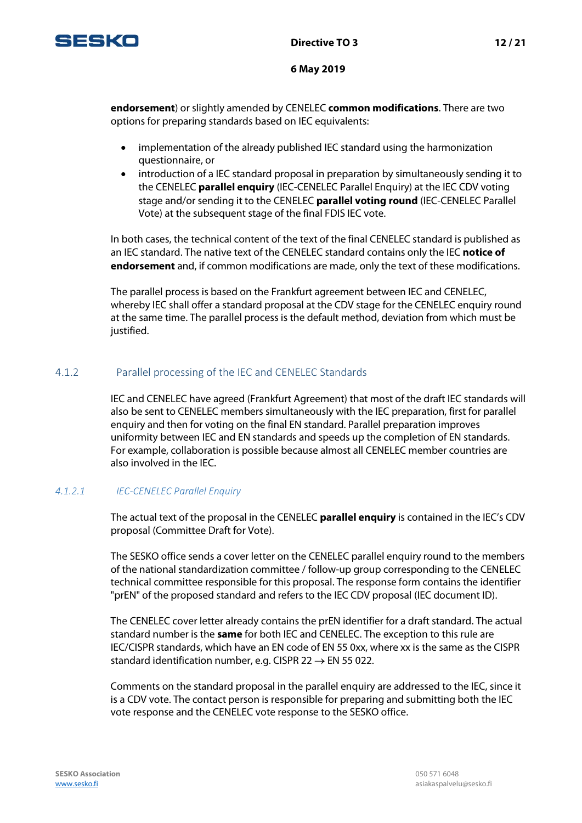

**endorsement**) or slightly amended by CENELEC **common modifications**. There are two options for preparing standards based on IEC equivalents:

- implementation of the already published IEC standard using the harmonization questionnaire, or
- introduction of a IEC standard proposal in preparation by simultaneously sending it to the CENELEC **parallel enquiry** (IEC-CENELEC Parallel Enquiry) at the IEC CDV voting stage and/or sending it to the CENELEC **parallel voting round** (IEC-CENELEC Parallel Vote) at the subsequent stage of the final FDIS IEC vote.

In both cases, the technical content of the text of the final CENELEC standard is published as an IEC standard. The native text of the CENELEC standard contains only the IEC **notice of endorsement** and, if common modifications are made, only the text of these modifications.

The parallel process is based on the Frankfurt agreement between IEC and CENELEC, whereby IEC shall offer a standard proposal at the CDV stage for the CENELEC enquiry round at the same time. The parallel process is the default method, deviation from which must be justified.

### <span id="page-11-0"></span>4.1.2 Parallel processing of the IEC and CENELEC Standards

IEC and CENELEC have agreed (Frankfurt Agreement) that most of the draft IEC standards will also be sent to CENELEC members simultaneously with the IEC preparation, first for parallel enquiry and then for voting on the final EN standard. Parallel preparation improves uniformity between IEC and EN standards and speeds up the completion of EN standards. For example, collaboration is possible because almost all CENELEC member countries are also involved in the IEC.

#### *4.1.2.1 IEC-CENELEC Parallel Enquiry*

The actual text of the proposal in the CENELEC **parallel enquiry** is contained in the IEC's CDV proposal (Committee Draft for Vote).

The SESKO office sends a cover letter on the CENELEC parallel enquiry round to the members of the national standardization committee / follow-up group corresponding to the CENELEC technical committee responsible for this proposal. The response form contains the identifier "prEN" of the proposed standard and refers to the IEC CDV proposal (IEC document ID).

The CENELEC cover letter already contains the prEN identifier for a draft standard. The actual standard number is the **same** for both IEC and CENELEC. The exception to this rule are IEC/CISPR standards, which have an EN code of EN 55 0xx, where xx is the same as the CISPR standard identification number, e.g. CISPR 22  $\rightarrow$  EN 55 022.

Comments on the standard proposal in the parallel enquiry are addressed to the IEC, since it is a CDV vote. The contact person is responsible for preparing and submitting both the IEC vote response and the CENELEC vote response to the SESKO office.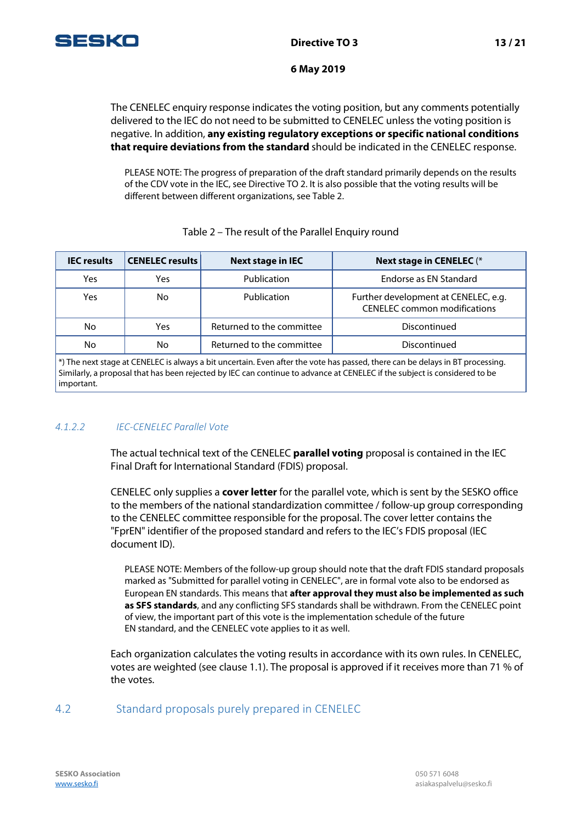

The CENELEC enquiry response indicates the voting position, but any comments potentially delivered to the IEC do not need to be submitted to CENELEC unless the voting position is negative. In addition, **any existing regulatory exceptions or specific national conditions that require deviations from the standard** should be indicated in the CENELEC response.

PLEASE NOTE: The progress of preparation of the draft standard primarily depends on the results of the CDV vote in the IEC, see Directive TO 2. It is also possible that the voting results will be different between different organizations, see Table 2.

| <b>IEC</b> results                                                                                                                                                                                                                                                                                                                                                                  | <b>CENELEC results</b> | <b>Next stage in IEC</b>  | <b>Next stage in CENELEC (*</b>                                             |
|-------------------------------------------------------------------------------------------------------------------------------------------------------------------------------------------------------------------------------------------------------------------------------------------------------------------------------------------------------------------------------------|------------------------|---------------------------|-----------------------------------------------------------------------------|
| Yes                                                                                                                                                                                                                                                                                                                                                                                 | Yes                    | Publication               | Endorse as EN Standard                                                      |
| Yes                                                                                                                                                                                                                                                                                                                                                                                 | No                     | Publication               | Further development at CENELEC, e.g.<br><b>CENELEC</b> common modifications |
| No.                                                                                                                                                                                                                                                                                                                                                                                 | Yes                    | Returned to the committee | Discontinued                                                                |
| No.                                                                                                                                                                                                                                                                                                                                                                                 | No                     | Returned to the committee | Discontinued                                                                |
| $\mathbb{E}[\mathbf{r}^{\mathsf{T}}] = \mathbf{r}^{\mathsf{T}} = \mathbf{r}^{\mathsf{T}}$ , $\mathbf{r}^{\mathsf{T}}$ , $\mathbf{r}^{\mathsf{T}}$ , $\mathbf{r}^{\mathsf{T}}$ , $\mathbf{r}^{\mathsf{T}}$ , $\mathbf{r}^{\mathsf{T}}$ , $\mathbf{r}^{\mathsf{T}}$ , $\mathbf{r}^{\mathsf{T}}$ , $\mathbf{r}^{\mathsf{T}}$ , $\mathbf{r}^{\mathsf{T}}$ , $\mathbf{r}^{\mathsf{T}}$ , |                        |                           |                                                                             |

#### Table 2 – The result of the Parallel Enquiry round

\*) The next stage at CENELEC is always a bit uncertain. Even after the vote has passed, there can be delays in BT processing. Similarly, a proposal that has been rejected by IEC can continue to advance at CENELEC if the subject is considered to be important.

### *4.1.2.2 IEC-CENELEC Parallel Vote*

The actual technical text of the CENELEC **parallel voting** proposal is contained in the IEC Final Draft for International Standard (FDIS) proposal.

CENELEC only supplies a **cover letter** for the parallel vote, which is sent by the SESKO office to the members of the national standardization committee / follow-up group corresponding to the CENELEC committee responsible for the proposal. The cover letter contains the "FprEN" identifier of the proposed standard and refers to the IEC's FDIS proposal (IEC document ID).

PLEASE NOTE: Members of the follow-up group should note that the draft FDIS standard proposals marked as "Submitted for parallel voting in CENELEC", are in formal vote also to be endorsed as European EN standards. This means that **after approval they must also be implemented as such as SFS standards**, and any conflicting SFS standards shall be withdrawn. From the CENELEC point of view, the important part of this vote is the implementation schedule of the future EN standard, and the CENELEC vote applies to it as well.

Each organization calculates the voting results in accordance with its own rules. In CENELEC, votes are weighted (see clause 1.1). The proposal is approved if it receives more than 71 % of the votes.

### <span id="page-12-0"></span>4.2 Standard proposals purely prepared in CENELEC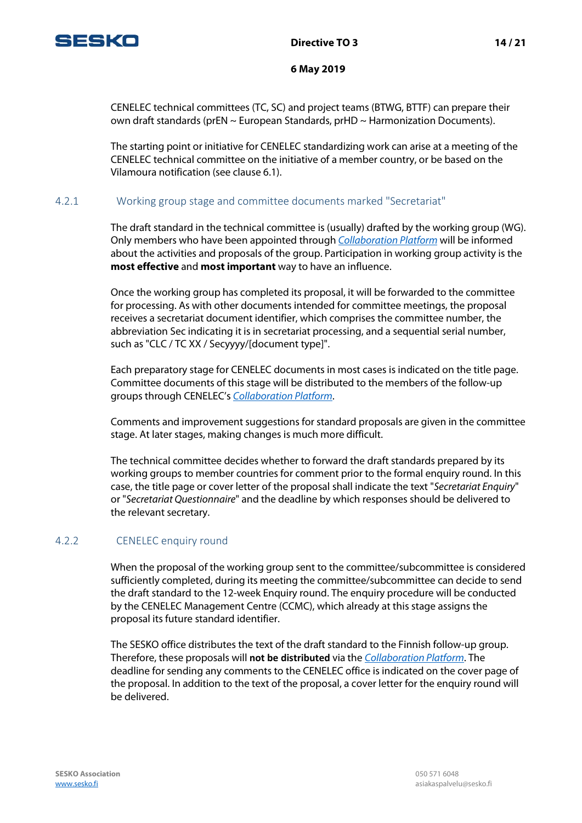

CENELEC technical committees (TC, SC) and project teams (BTWG, BTTF) can prepare their own draft standards (prEN  $\sim$  European Standards, prHD  $\sim$  Harmonization Documents).

The starting point or initiative for CENELEC standardizing work can arise at a meeting of the CENELEC technical committee on the initiative of a member country, or be based on the Vilamoura notification (see clause 6.1).

### <span id="page-13-0"></span>4.2.1 Working group stage and committee documents marked "Secretariat"

The draft standard in the technical committee is (usually) drafted by the working group (WG). Only members who have been appointed through *[Collaboration Platform](https://collaborate.iec.ch/)* will be informed about the activities and proposals of the group. Participation in working group activity is the **most effective** and **most important** way to have an influence.

Once the working group has completed its proposal, it will be forwarded to the committee for processing. As with other documents intended for committee meetings, the proposal receives a secretariat document identifier, which comprises the committee number, the abbreviation Sec indicating it is in secretariat processing, and a sequential serial number, such as "CLC / TC XX / Secyyyy/[document type]".

Each preparatory stage for CENELEC documents in most cases is indicated on the title page. Committee documents of this stage will be distributed to the members of the follow-up groups through CENELEC's *[Collaboration Platform](https://collaborate.iec.ch/)*.

Comments and improvement suggestions for standard proposals are given in the committee stage. At later stages, making changes is much more difficult.

The technical committee decides whether to forward the draft standards prepared by its working groups to member countries for comment prior to the formal enquiry round. In this case, the title page or cover letter of the proposal shall indicate the text "*Secretariat Enquiry*" or "*Secretariat Questionnaire*" and the deadline by which responses should be delivered to the relevant secretary.

#### <span id="page-13-1"></span>4.2.2 CENELEC enquiry round

When the proposal of the working group sent to the committee/subcommittee is considered sufficiently completed, during its meeting the committee/subcommittee can decide to send the draft standard to the 12-week Enquiry round. The enquiry procedure will be conducted by the CENELEC Management Centre (CCMC), which already at this stage assigns the proposal its future standard identifier.

The SESKO office distributes the text of the draft standard to the Finnish follow-up group. Therefore, these proposals will **not be distributed** via the *[Collaboration Platform](https://collaborate.iec.ch/)*. The deadline for sending any comments to the CENELEC office is indicated on the cover page of the proposal. In addition to the text of the proposal, a cover letter for the enquiry round will be delivered.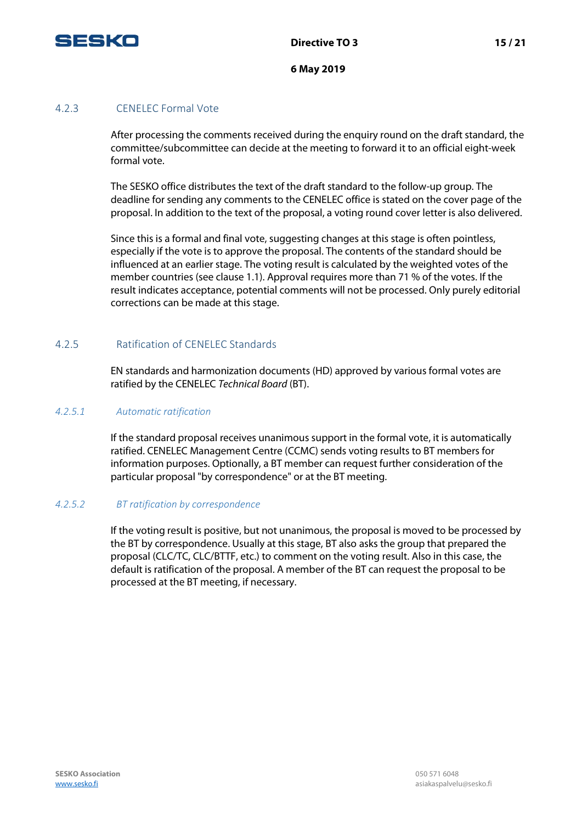

#### <span id="page-14-0"></span>4.2.3 CENELEC Formal Vote

After processing the comments received during the enquiry round on the draft standard, the committee/subcommittee can decide at the meeting to forward it to an official eight-week formal vote.

The SESKO office distributes the text of the draft standard to the follow-up group. The deadline for sending any comments to the CENELEC office is stated on the cover page of the proposal. In addition to the text of the proposal, a voting round cover letter is also delivered.

Since this is a formal and final vote, suggesting changes at this stage is often pointless, especially if the vote is to approve the proposal. The contents of the standard should be influenced at an earlier stage. The voting result is calculated by the weighted votes of the member countries (see clause 1.1). Approval requires more than 71 % of the votes. If the result indicates acceptance, potential comments will not be processed. Only purely editorial corrections can be made at this stage.

#### <span id="page-14-1"></span>4.2.5 Ratification of CENELEC Standards

EN standards and harmonization documents (HD) approved by various formal votes are ratified by the CENELEC *Technical Board* (BT).

#### *4.2.5.1 Automatic ratification*

If the standard proposal receives unanimous support in the formal vote, it is automatically ratified. CENELEC Management Centre (CCMC) sends voting results to BT members for information purposes. Optionally, a BT member can request further consideration of the particular proposal "by correspondence" or at the BT meeting.

#### *4.2.5.2 BT ratification by correspondence*

If the voting result is positive, but not unanimous, the proposal is moved to be processed by the BT by correspondence. Usually at this stage, BT also asks the group that prepared the proposal (CLC/TC, CLC/BTTF, etc.) to comment on the voting result. Also in this case, the default is ratification of the proposal. A member of the BT can request the proposal to be processed at the BT meeting, if necessary.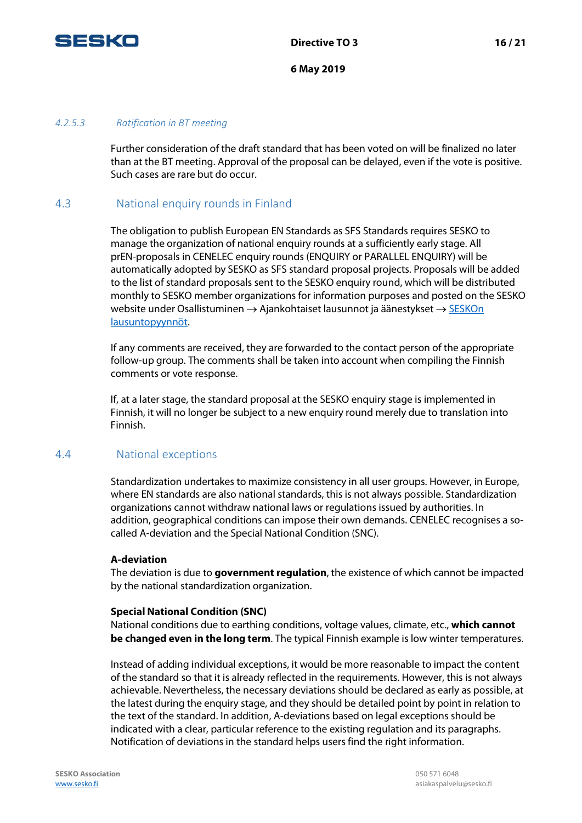

#### *4.2.5.3 Ratification in BT meeting*

Further consideration of the draft standard that has been voted on will be finalized no later than at the BT meeting. Approval of the proposal can be delayed, even if the vote is positive. Such cases are rare but do occur.

### <span id="page-15-0"></span>4.3 National enquiry rounds in Finland

The obligation to publish European EN Standards as SFS Standards requires SESKO to manage the organization of national enquiry rounds at a sufficiently early stage. All prEN-proposals in CENELEC enquiry rounds (ENQUIRY or PARALLEL ENQUIRY) will be automatically adopted by SESKO as SFS standard proposal projects. Proposals will be added to the list of standard proposals sent to the SESKO enquiry round, which will be distributed monthly to SESKO member organizations for information purposes and posted on the SESKO website under Osallistuminen → Ajankohtaiset lausunnot ja äänestykset → [SESKOn](http://www.sesko.fi/osallistuminen/ajankohtaiset_lausunnot_ja_aanestykset/seskon_lausuntopyynnot)  [lausuntopyynnöt.](http://www.sesko.fi/osallistuminen/ajankohtaiset_lausunnot_ja_aanestykset/seskon_lausuntopyynnot)

If any comments are received, they are forwarded to the contact person of the appropriate follow-up group. The comments shall be taken into account when compiling the Finnish comments or vote response.

If, at a later stage, the standard proposal at the SESKO enquiry stage is implemented in Finnish, it will no longer be subject to a new enquiry round merely due to translation into Finnish.

#### <span id="page-15-1"></span>4.4 National exceptions

Standardization undertakes to maximize consistency in all user groups. However, in Europe, where EN standards are also national standards, this is not always possible. Standardization organizations cannot withdraw national laws or regulations issued by authorities. In addition, geographical conditions can impose their own demands. CENELEC recognises a socalled A-deviation and the Special National Condition (SNC).

#### **A-deviation**

The deviation is due to **government regulation**, the existence of which cannot be impacted by the national standardization organization.

#### **Special National Condition (SNC)**

National conditions due to earthing conditions, voltage values, climate, etc., **which cannot be changed even in the long term**. The typical Finnish example is low winter temperatures.

Instead of adding individual exceptions, it would be more reasonable to impact the content of the standard so that it is already reflected in the requirements. However, this is not always achievable. Nevertheless, the necessary deviations should be declared as early as possible, at the latest during the enquiry stage, and they should be detailed point by point in relation to the text of the standard. In addition, A-deviations based on legal exceptions should be indicated with a clear, particular reference to the existing regulation and its paragraphs. Notification of deviations in the standard helps users find the right information.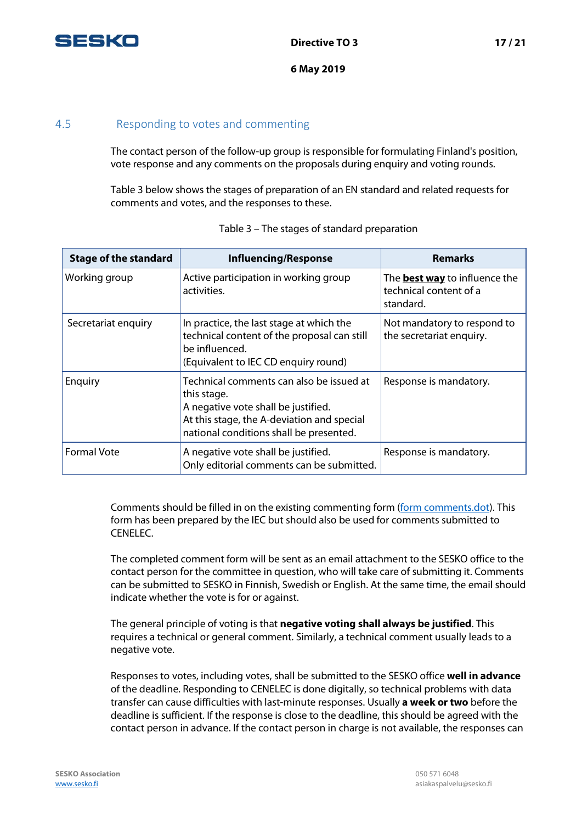

## <span id="page-16-0"></span>4.5 Responding to votes and commenting

The contact person of the follow-up group is responsible for formulating Finland's position, vote response and any comments on the proposals during enquiry and voting rounds.

Table 3 below shows the stages of preparation of an EN standard and related requests for comments and votes, and the responses to these.

| <b>Stage of the standard</b> | <b>Influencing/Response</b>                                                                                                                                                             | <b>Remarks</b>                                                              |
|------------------------------|-----------------------------------------------------------------------------------------------------------------------------------------------------------------------------------------|-----------------------------------------------------------------------------|
| Working group                | Active participation in working group<br>activities.                                                                                                                                    | The <b>best way</b> to influence the<br>technical content of a<br>standard. |
| Secretariat enquiry          | In practice, the last stage at which the<br>technical content of the proposal can still<br>be influenced.<br>(Equivalent to IEC CD enquiry round)                                       | Not mandatory to respond to<br>the secretariat enquiry.                     |
| Enquiry                      | Technical comments can also be issued at<br>this stage.<br>A negative vote shall be justified.<br>At this stage, the A-deviation and special<br>national conditions shall be presented. | Response is mandatory.                                                      |
| <b>Formal Vote</b>           | A negative vote shall be justified.<br>Only editorial comments can be submitted.                                                                                                        | Response is mandatory.                                                      |

|  | Table 3 - The stages of standard preparation |
|--|----------------------------------------------|
|  |                                              |

Comments should be filled in on the existing commenting form [\(form comments.dot\)](http://www.iec.ch/standardsdev/resources/forms_templates/documents/Form-Comments.doc). This form has been prepared by the IEC but should also be used for comments submitted to CENELEC.

The completed comment form will be sent as an email attachment to the SESKO office to the contact person for the committee in question, who will take care of submitting it. Comments can be submitted to SESKO in Finnish, Swedish or English. At the same time, the email should indicate whether the vote is for or against.

The general principle of voting is that **negative voting shall always be justified**. This requires a technical or general comment. Similarly, a technical comment usually leads to a negative vote.

Responses to votes, including votes, shall be submitted to the SESKO office **well in advance** of the deadline. Responding to CENELEC is done digitally, so technical problems with data transfer can cause difficulties with last-minute responses. Usually **a week or two** before the deadline is sufficient. If the response is close to the deadline, this should be agreed with the contact person in advance. If the contact person in charge is not available, the responses can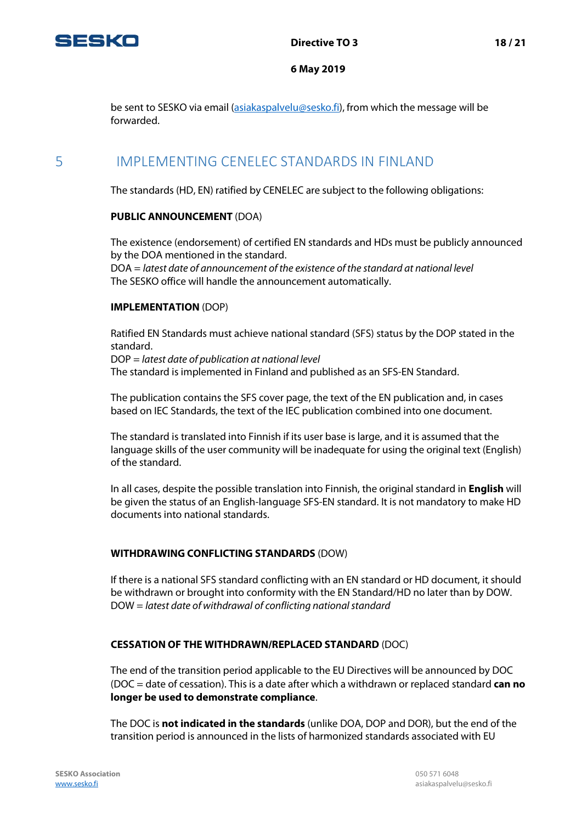

be sent to SESKO via email (asiakaspalvelu@sesko.fi), from which the message will be forwarded.

# <span id="page-17-0"></span>5 IMPLEMENTING CENELEC STANDARDS IN FINLAND

The standards (HD, EN) ratified by CENELEC are subject to the following obligations:

#### **PUBLIC ANNOUNCEMENT** (DOA)

The existence (endorsement) of certified EN standards and HDs must be publicly announced by the DOA mentioned in the standard.

DOA = *latest date of announcement of the existence of the standard at national level* The SESKO office will handle the announcement automatically.

#### **IMPLEMENTATION** (DOP)

Ratified EN Standards must achieve national standard (SFS) status by the DOP stated in the standard.

DOP = *latest date of publication at national level* The standard is implemented in Finland and published as an SFS-EN Standard.

The publication contains the SFS cover page, the text of the EN publication and, in cases based on IEC Standards, the text of the IEC publication combined into one document.

The standard is translated into Finnish if its user base is large, and it is assumed that the language skills of the user community will be inadequate for using the original text (English) of the standard.

In all cases, despite the possible translation into Finnish, the original standard in **English** will be given the status of an English-language SFS-EN standard. It is not mandatory to make HD documents into national standards.

#### **WITHDRAWING CONFLICTING STANDARDS** (DOW)

If there is a national SFS standard conflicting with an EN standard or HD document, it should be withdrawn or brought into conformity with the EN Standard/HD no later than by DOW. DOW = *latest date of withdrawal of conflicting national standard*

#### **CESSATION OF THE WITHDRAWN/REPLACED STANDARD** (DOC)

The end of the transition period applicable to the EU Directives will be announced by DOC (DOC = date of cessation). This is a date after which a withdrawn or replaced standard **can no longer be used to demonstrate compliance**.

The DOC is **not indicated in the standards** (unlike DOA, DOP and DOR), but the end of the transition period is announced in the lists of harmonized standards associated with EU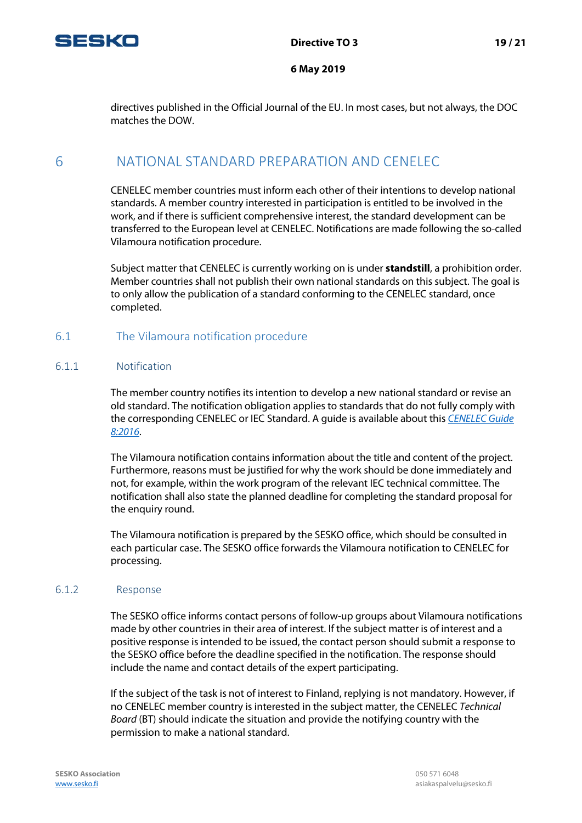

directives published in the Official Journal of the EU. In most cases, but not always, the DOC matches the DOW.

# <span id="page-18-0"></span>6 NATIONAL STANDARD PREPARATION AND CENELEC

CENELEC member countries must inform each other of their intentions to develop national standards. A member country interested in participation is entitled to be involved in the work, and if there is sufficient comprehensive interest, the standard development can be transferred to the European level at CENELEC. Notifications are made following the so-called Vilamoura notification procedure.

Subject matter that CENELEC is currently working on is under **standstill**, a prohibition order. Member countries shall not publish their own national standards on this subject. The goal is to only allow the publication of a standard conforming to the CENELEC standard, once completed.

## <span id="page-18-1"></span>6.1 The Vilamoura notification procedure

#### <span id="page-18-2"></span>6.1.1 Notification

The member country notifies its intention to develop a new national standard or revise an old standard. The notification obligation applies to standards that do not fully comply with the corresponding CENELEC or IEC Standard. A guide is available about this *[CENELEC Guide](ftp://ftp.cencenelec.eu/CENELEC/Guides/CLC/8_CENELECGuide8.pdf)  [8:2016](ftp://ftp.cencenelec.eu/CENELEC/Guides/CLC/8_CENELECGuide8.pdf)*.

The Vilamoura notification contains information about the title and content of the project. Furthermore, reasons must be justified for why the work should be done immediately and not, for example, within the work program of the relevant IEC technical committee. The notification shall also state the planned deadline for completing the standard proposal for the enquiry round.

The Vilamoura notification is prepared by the SESKO office, which should be consulted in each particular case. The SESKO office forwards the Vilamoura notification to CENELEC for processing.

#### <span id="page-18-3"></span>6.1.2 Response

The SESKO office informs contact persons of follow-up groups about Vilamoura notifications made by other countries in their area of interest. If the subject matter is of interest and a positive response is intended to be issued, the contact person should submit a response to the SESKO office before the deadline specified in the notification. The response should include the name and contact details of the expert participating.

If the subject of the task is not of interest to Finland, replying is not mandatory. However, if no CENELEC member country is interested in the subject matter, the CENELEC *Technical Board* (BT) should indicate the situation and provide the notifying country with the permission to make a national standard.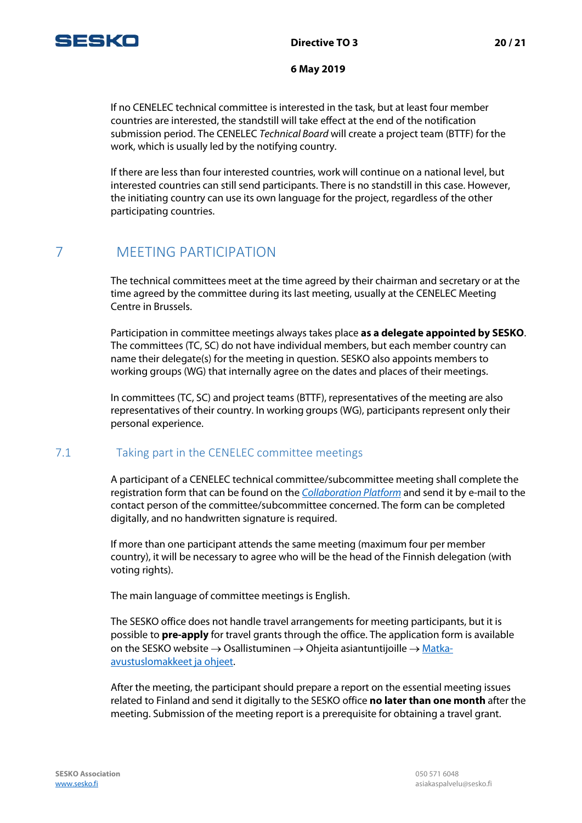

If no CENELEC technical committee is interested in the task, but at least four member countries are interested, the standstill will take effect at the end of the notification submission period. The CENELEC *Technical Board* will create a project team (BTTF) for the work, which is usually led by the notifying country.

If there are less than four interested countries, work will continue on a national level, but interested countries can still send participants. There is no standstill in this case. However, the initiating country can use its own language for the project, regardless of the other participating countries.

# <span id="page-19-0"></span>7 MEETING PARTICIPATION

The technical committees meet at the time agreed by their chairman and secretary or at the time agreed by the committee during its last meeting, usually at the CENELEC Meeting Centre in Brussels.

Participation in committee meetings always takes place **as a delegate appointed by SESKO**. The committees (TC, SC) do not have individual members, but each member country can name their delegate(s) for the meeting in question. SESKO also appoints members to working groups (WG) that internally agree on the dates and places of their meetings.

In committees (TC, SC) and project teams (BTTF), representatives of the meeting are also representatives of their country. In working groups (WG), participants represent only their personal experience.

# <span id="page-19-1"></span>7.1 Taking part in the CENELEC committee meetings

A participant of a CENELEC technical committee/subcommittee meeting shall complete the registration form that can be found on the *[Collaboration Platform](https://collaborate.iec.ch/)* and send it by e-mail to the contact person of the committee/subcommittee concerned. The form can be completed digitally, and no handwritten signature is required.

If more than one participant attends the same meeting (maximum four per member country), it will be necessary to agree who will be the head of the Finnish delegation (with voting rights).

The main language of committee meetings is English.

The SESKO office does not handle travel arrangements for meeting participants, but it is possible to **pre-apply** for travel grants through the office. The application form is available on the SESKO website  $\rightarrow$  Osallistuminen  $\rightarrow$  Ohjeita asiantuntijoille  $\rightarrow$  [Matka](http://www.sesko.fi/osallistuminen/ohjeita_asiantuntijoille/matka-avustuslomakkeet_ja_ohjeet)[avustuslomakkeet ja ohjeet.](http://www.sesko.fi/osallistuminen/ohjeita_asiantuntijoille/matka-avustuslomakkeet_ja_ohjeet)

After the meeting, the participant should prepare a report on the essential meeting issues related to Finland and send it digitally to the SESKO office **no later than one month** after the meeting. Submission of the meeting report is a prerequisite for obtaining a travel grant.